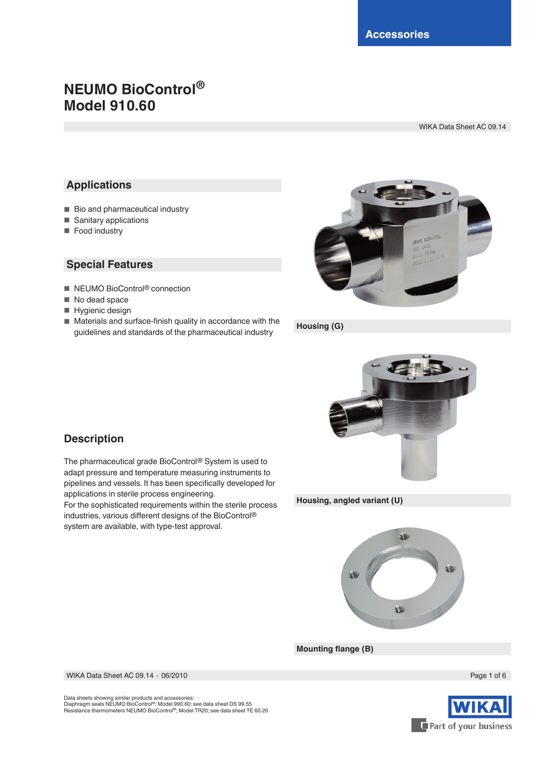# **NEUMO BioControl® Model 910.60**

WIKA Data Sheet AC 09.14

# **Applications**

- Bio and pharmaceutical industry
- Sanitary applications
- Food industry

## **Special Features**

- NEUMO BioControl<sup>®</sup> connection
- No dead space
- Hygienic design
- Materials and surface-finish quality in accordance with the guidelines and standards of the pharmaceutical industry



**Housing (G)**



# **Description**

The pharmaceutical grade BioControl® System is used to adapt pressure and temperature measuring instruments to pipelines and vessels. It has been specifically developed for applications in sterile process engineering.

For the sophisticated requirements within the sterile process industries, various different designs of the BioControl® system are available, with type-test approval.

**Housing, angled variant (U)**



**Mounting flange (B)**

WIKA Data Sheet AC 09.14 ⋅ 06/2010 Page 1 of 6



Data sheets showing similar products and accessories: Diaphragm seals NEUMO BioControl®; Model 990.60; see data sheet DS 99.55 Resistance thermometers NEUMO BioControl®; Model TR20; see data sheet TE 60.20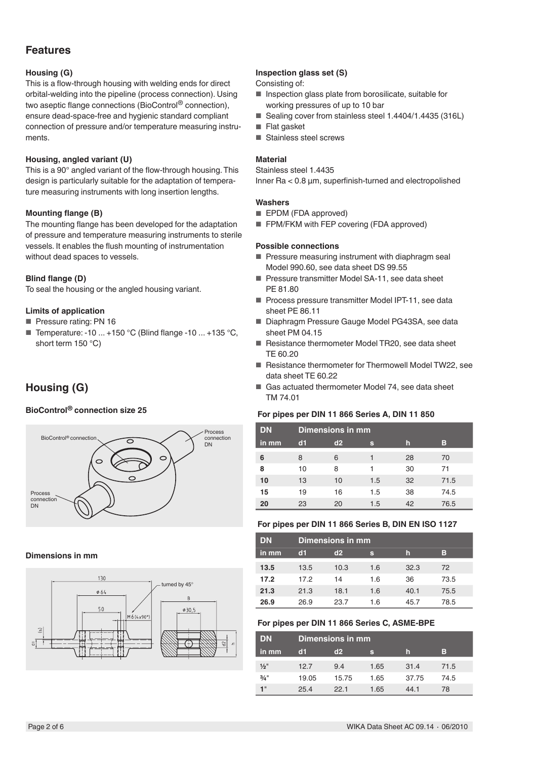Proces connection DN

# **Features**

#### **Housing (G)**

This is a flow-through housing with welding ends for direct orbital-welding into the pipeline (process connection). Using two aseptic flange connections (BioControl® connection), ensure dead-space-free and hygienic standard compliant connection of pressure and/or temperature measuring instruments.

#### **Housing, angled variant (U)**

This is a 90° angled variant of the flow-through housing. This design is particularly suitable for the adaptation of temperature measuring instruments with long insertion lengths.

#### **Mounting flange (B)**

The mounting flange has been developed for the adaptation of pressure and temperature measuring instruments to sterile vessels. It enables the flush mounting of instrumentation without dead spaces to vessels.

#### **Blind flange (D)**

To seal the housing or the angled housing variant.

#### **Limits of application**

- Pressure rating: PN 16
- Temperature: -10 ... +150 °C (Blind flange -10 ... +135 °C, short term 150 °C)

 $\subset$ 

Process connection DN

# **Housing (G)**

BioControl<sup>®</sup> connection





#### **Inspection glass set (S)**

Consisting of:

- Inspection glass plate from borosilicate, suitable for working pressures of up to 10 bar
- Sealing cover from stainless steel 1.4404/1.4435 (316L)
- Flat gasket
- Stainless steel screws

#### **Material**

Stainless steel 1.4435

Inner Ra < 0.8 µm, superfinish-turned and electropolished

#### **Washers**

- EPDM (FDA approved)
- FPM/FKM with FEP covering (FDA approved)

#### **Possible connections**

- Pressure measuring instrument with diaphragm seal Model 990.60, see data sheet DS 99.55
- Pressure transmitter Model SA-11, see data sheet PE 81.80
- Process pressure transmitter Model IPT-11, see data sheet PE 86.11
- Diaphragm Pressure Gauge Model PG43SA, see data sheet PM 04.15
- Resistance thermometer Model TR20, see data sheet TE 60.20
- Resistance thermometer for Thermowell Model TW22, see data sheet TE 60.22
- Gas actuated thermometer Model 74, see data sheet TM 74.01

# **BioControl® connection size 25 For pipes per DIN 11 866 Series A, DIN 11 850**

| <b>DN</b> | Dimensions in mm |                   |     |    |      |  |  |  |  |  |  |
|-----------|------------------|-------------------|-----|----|------|--|--|--|--|--|--|
| in mm     | c <sub>1</sub>   | d2<br>в<br>h<br>s |     |    |      |  |  |  |  |  |  |
| 6         | 8                | 6                 |     | 28 | 70   |  |  |  |  |  |  |
| 8         | 10               | 8                 |     | 30 | 71   |  |  |  |  |  |  |
| 10        | 13               | 10                | 1.5 | 32 | 71.5 |  |  |  |  |  |  |
| 15        | 19               | 16                | 1.5 | 38 | 74.5 |  |  |  |  |  |  |
| 20        | 23               | 20                | 1.5 | 42 | 76.5 |  |  |  |  |  |  |

#### **For pipes per DIN 11 866 Series B, DIN EN ISO 1127**

| <b>DN</b> |      | Dimensions in mm  |     |      |      |  |  |  |  |  |  |
|-----------|------|-------------------|-----|------|------|--|--|--|--|--|--|
| in mm     | d1   | d2<br>в<br>h<br>s |     |      |      |  |  |  |  |  |  |
| 13.5      | 13.5 | 10.3              | 1.6 | 32.3 | 72   |  |  |  |  |  |  |
| 17.2      | 17.2 | 14                | 1.6 | 36   | 73.5 |  |  |  |  |  |  |
| 21.3      | 21.3 | 18.1              | 1.6 | 40.1 | 75.5 |  |  |  |  |  |  |
| 26.9      | 26.9 | 23.7              | 1.6 | 45.7 | 78.5 |  |  |  |  |  |  |

#### **For pipes per DIN 11 866 Series C, ASME-BPE**

| <b>DN</b>       |       | Dimensions in mm   |      |       |      |  |  |  |  |  |  |
|-----------------|-------|--------------------|------|-------|------|--|--|--|--|--|--|
| in mm           | GH.   | в<br>d2<br>In<br>s |      |       |      |  |  |  |  |  |  |
| $\frac{1}{2}$ " | 12.7  | 9.4                | 1.65 | 31.4  | 71.5 |  |  |  |  |  |  |
| $3/4$ "         | 19.05 | 15.75              | 1.65 | 37.75 | 74.5 |  |  |  |  |  |  |
| 1"              | 25.4  | 221                | 1.65 | 44 1  | 78   |  |  |  |  |  |  |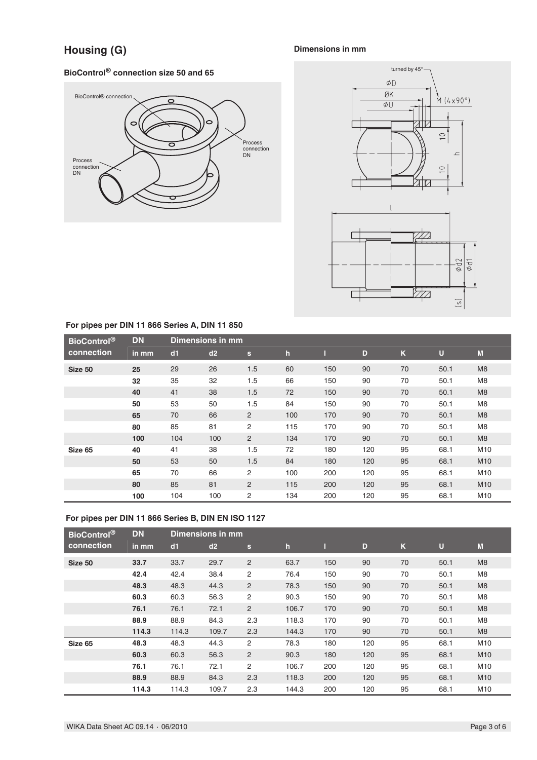# **Housing (G)**

# **Dimensions in mm**

# **BioControl® connection size 50 and 65**





## **For pipes per DIN 11 866 Series A, DIN 11 850**

| <b>BioControl</b> <sup>®</sup> | <b>DN</b> |     | Dimensions in mm |                |     |     |     |    |      |                 |
|--------------------------------|-----------|-----|------------------|----------------|-----|-----|-----|----|------|-----------------|
| connection                     | in mm     | dd1 | d2               | $\mathbf{s}$   | h   |     | D   | K  | U    | M               |
| Size 50                        | 25        | 29  | 26               | 1.5            | 60  | 150 | 90  | 70 | 50.1 | M <sub>8</sub>  |
|                                | 32        | 35  | 32               | 1.5            | 66  | 150 | 90  | 70 | 50.1 | M <sub>8</sub>  |
|                                | 40        | 41  | 38               | 1.5            | 72  | 150 | 90  | 70 | 50.1 | M8              |
|                                | 50        | 53  | 50               | 1.5            | 84  | 150 | 90  | 70 | 50.1 | M <sub>8</sub>  |
|                                | 65        | 70  | 66               | $\overline{2}$ | 100 | 170 | 90  | 70 | 50.1 | M8              |
|                                | 80        | 85  | 81               | 2              | 115 | 170 | 90  | 70 | 50.1 | M <sub>8</sub>  |
|                                | 100       | 104 | 100              | $\overline{2}$ | 134 | 170 | 90  | 70 | 50.1 | M8              |
| Size 65                        | 40        | 41  | 38               | 1.5            | 72  | 180 | 120 | 95 | 68.1 | M10             |
|                                | 50        | 53  | 50               | 1.5            | 84  | 180 | 120 | 95 | 68.1 | M <sub>10</sub> |
|                                | 65        | 70  | 66               | 2              | 100 | 200 | 120 | 95 | 68.1 | M10             |
|                                | 80        | 85  | 81               | $\overline{2}$ | 115 | 200 | 120 | 95 | 68.1 | M <sub>10</sub> |
|                                | 100       | 104 | 100              | 2              | 134 | 200 | 120 | 95 | 68.1 | M10             |

## **For pipes per DIN 11 866 Series B, DIN EN ISO 1127**

| <b>BioControl®</b> | <b>DN</b> |       | Dimensions in mm |              |              |     |     |    |                |                 |
|--------------------|-----------|-------|------------------|--------------|--------------|-----|-----|----|----------------|-----------------|
| connection         | in mm     | dd1   | d2               | $\mathbf{s}$ | $\mathbf{h}$ |     | D   | K  | $\overline{U}$ | M               |
| Size 50            | 33.7      | 33.7  | 29.7             | 2            | 63.7         | 150 | 90  | 70 | 50.1           | M <sub>8</sub>  |
|                    | 42.4      | 42.4  | 38.4             | 2            | 76.4         | 150 | 90  | 70 | 50.1           | M <sub>8</sub>  |
|                    | 48.3      | 48.3  | 44.3             | 2            | 78.3         | 150 | 90  | 70 | 50.1           | M <sub>8</sub>  |
|                    | 60.3      | 60.3  | 56.3             | 2            | 90.3         | 150 | 90  | 70 | 50.1           | M <sub>8</sub>  |
|                    | 76.1      | 76.1  | 72.1             | 2            | 106.7        | 170 | 90  | 70 | 50.1           | M <sub>8</sub>  |
|                    | 88.9      | 88.9  | 84.3             | 2.3          | 118.3        | 170 | 90  | 70 | 50.1           | M <sub>8</sub>  |
|                    | 114.3     | 114.3 | 109.7            | 2.3          | 144.3        | 170 | 90  | 70 | 50.1           | M8              |
| Size 65            | 48.3      | 48.3  | 44.3             | 2            | 78.3         | 180 | 120 | 95 | 68.1           | M10             |
|                    | 60.3      | 60.3  | 56.3             | 2            | 90.3         | 180 | 120 | 95 | 68.1           | M <sub>10</sub> |
|                    | 76.1      | 76.1  | 72.1             | 2            | 106.7        | 200 | 120 | 95 | 68.1           | M10             |
|                    | 88.9      | 88.9  | 84.3             | 2.3          | 118.3        | 200 | 120 | 95 | 68.1           | M <sub>10</sub> |
|                    | 114.3     | 114.3 | 109.7            | 2.3          | 144.3        | 200 | 120 | 95 | 68.1           | M10             |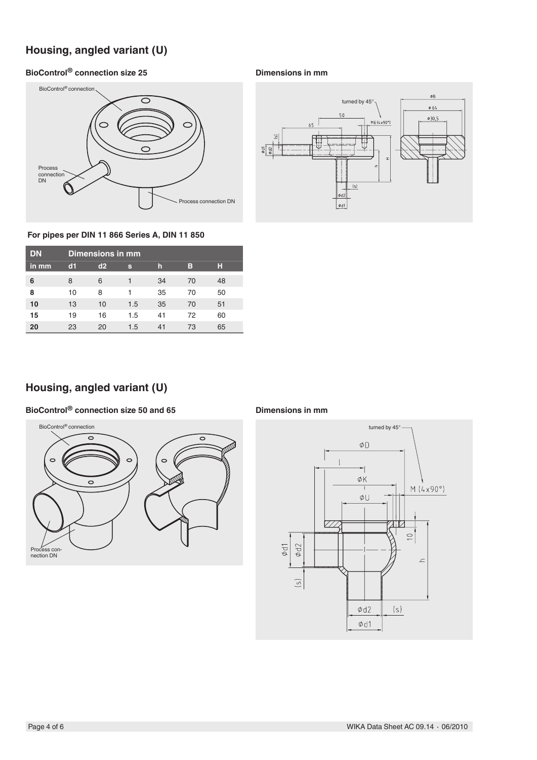# **Housing, angled variant (U)**

# **BioControl® connection size 25**





#### **For pipes per DIN 11 866 Series A, DIN 11 850**

| <b>DN</b> |    | Dimensions in mm |     |    |    |    |  |  |  |  |  |
|-----------|----|------------------|-----|----|----|----|--|--|--|--|--|
| in mm     | d1 | d2               | s   | h  | в  | н  |  |  |  |  |  |
| 6         | 8  | 6                |     | 34 | 70 | 48 |  |  |  |  |  |
| 8         | 10 | 8                | 1   | 35 | 70 | 50 |  |  |  |  |  |
| 10        | 13 | 10               | 1.5 | 35 | 70 | 51 |  |  |  |  |  |
| 15        | 19 | 16               | 1.5 | 41 | 72 | 60 |  |  |  |  |  |
| 20        | 23 | 20               | 1.5 | 41 | 73 | 65 |  |  |  |  |  |

# **Housing, angled variant (U)**

## **BioControl® connection size 50 and 65**



#### **Dimensions in mm**

**Dimensions in mm**

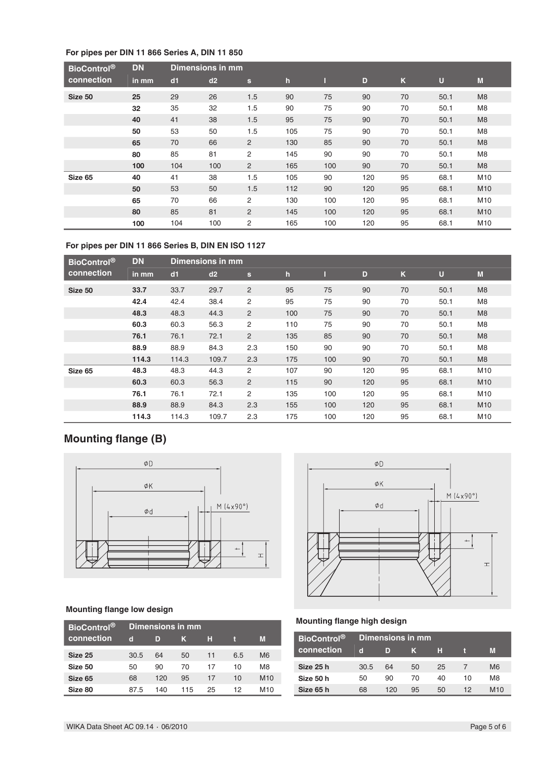## **For pipes per DIN 11 866 Series A, DIN 11 850**

| <b>BioControl®</b> | <b>DN</b> |     | <b>Dimensions in mm</b> |                |              |     |     |              |      |                 |
|--------------------|-----------|-----|-------------------------|----------------|--------------|-----|-----|--------------|------|-----------------|
| connection         | in mm     | dd1 | d2                      | $\mathbf{s}$   | $\mathbf{h}$ |     | D   | $\mathsf{K}$ | U    | M               |
| Size 50            | 25        | 29  | 26                      | 1.5            | 90           | 75  | 90  | 70           | 50.1 | M <sub>8</sub>  |
|                    | 32        | 35  | 32                      | 1.5            | 90           | 75  | 90  | 70           | 50.1 | M <sub>8</sub>  |
|                    | 40        | 41  | 38                      | 1.5            | 95           | 75  | 90  | 70           | 50.1 | M <sub>8</sub>  |
|                    | 50        | 53  | 50                      | 1.5            | 105          | 75  | 90  | 70           | 50.1 | M <sub>8</sub>  |
|                    | 65        | 70  | 66                      | 2              | 130          | 85  | 90  | 70           | 50.1 | M <sub>8</sub>  |
|                    | 80        | 85  | 81                      | 2              | 145          | 90  | 90  | 70           | 50.1 | M <sub>8</sub>  |
|                    | 100       | 104 | 100                     | $\overline{2}$ | 165          | 100 | 90  | 70           | 50.1 | M <sub>8</sub>  |
| Size 65            | 40        | 41  | 38                      | 1.5            | 105          | 90  | 120 | 95           | 68.1 | M10             |
|                    | 50        | 53  | 50                      | 1.5            | 112          | 90  | 120 | 95           | 68.1 | M <sub>10</sub> |
|                    | 65        | 70  | 66                      | $\overline{2}$ | 130          | 100 | 120 | 95           | 68.1 | M <sub>10</sub> |
|                    | 80        | 85  | 81                      | $\overline{2}$ | 145          | 100 | 120 | 95           | 68.1 | M <sub>10</sub> |
|                    | 100       | 104 | 100                     | 2              | 165          | 100 | 120 | 95           | 68.1 | M10             |

## **For pipes per DIN 11 866 Series B, DIN EN ISO 1127**

| <b>BioControl®</b> | <b>DN</b> |       | Dimensions in mm |                |             |     |     |    |             |                 |
|--------------------|-----------|-------|------------------|----------------|-------------|-----|-----|----|-------------|-----------------|
| connection         | in mm     | d1    | d2               | $\mathbf{s}$   | $\mathbf h$ |     | D   | K  | $\mathbf U$ | M               |
| Size 50            | 33.7      | 33.7  | 29.7             | $\overline{2}$ | 95          | 75  | 90  | 70 | 50.1        | M <sub>8</sub>  |
|                    | 42.4      | 42.4  | 38.4             | 2              | 95          | 75  | 90  | 70 | 50.1        | M <sub>8</sub>  |
|                    | 48.3      | 48.3  | 44.3             | $\overline{2}$ | 100         | 75  | 90  | 70 | 50.1        | M <sub>8</sub>  |
|                    | 60.3      | 60.3  | 56.3             | 2              | 110         | 75  | 90  | 70 | 50.1        | M <sub>8</sub>  |
|                    | 76.1      | 76.1  | 72.1             | 2              | 135         | 85  | 90  | 70 | 50.1        | M <sub>8</sub>  |
|                    | 88.9      | 88.9  | 84.3             | 2.3            | 150         | 90  | 90  | 70 | 50.1        | M <sub>8</sub>  |
|                    | 114.3     | 114.3 | 109.7            | 2.3            | 175         | 100 | 90  | 70 | 50.1        | M <sub>8</sub>  |
| Size 65            | 48.3      | 48.3  | 44.3             | $\overline{2}$ | 107         | 90  | 120 | 95 | 68.1        | M10             |
|                    | 60.3      | 60.3  | 56.3             | 2              | 115         | 90  | 120 | 95 | 68.1        | M10             |
|                    | 76.1      | 76.1  | 72.1             | 2              | 135         | 100 | 120 | 95 | 68.1        | M10             |
|                    | 88.9      | 88.9  | 84.3             | 2.3            | 155         | 100 | 120 | 95 | 68.1        | M <sub>10</sub> |
|                    | 114.3     | 114.3 | 109.7            | 2.3            | 175         | 100 | 120 | 95 | 68.1        | M10             |

# **Mounting flange (B)**



## **Mounting flange low design**

| BioControl <sup>®</sup> | Dimensions in mm |     |     |    |     |                 |  |  |  |
|-------------------------|------------------|-----|-----|----|-----|-----------------|--|--|--|
| connection              | d                | D   | ĸ   | H  |     | M               |  |  |  |
| Size 25                 | 30.5             | 64  | 50  | 11 | 6.5 | M <sub>6</sub>  |  |  |  |
| Size 50                 | 50               | 90  | 70  | 17 | 10  | M8              |  |  |  |
| Size 65                 | 68               | 120 | 95  | 17 | 10  | M <sub>10</sub> |  |  |  |
| Size 80                 | 87.5             | 140 | 115 | 25 | 12  | M <sub>10</sub> |  |  |  |



## **Mounting flange high design**

| <b>BioControl</b> <sup>®</sup> |      | Dimensions in mm |    |    |    |                |  |  |  |
|--------------------------------|------|------------------|----|----|----|----------------|--|--|--|
| connection                     | d    | D                | 40 | н  |    | M              |  |  |  |
| Size 25 h                      | 30.5 | 64               | 50 | 25 |    | M <sub>6</sub> |  |  |  |
| Size 50 h                      | 50   | 90               | 70 | 40 | 10 | M8             |  |  |  |
| Size 65 h                      | 68   | 120              | 95 | 50 | 12 | M10            |  |  |  |